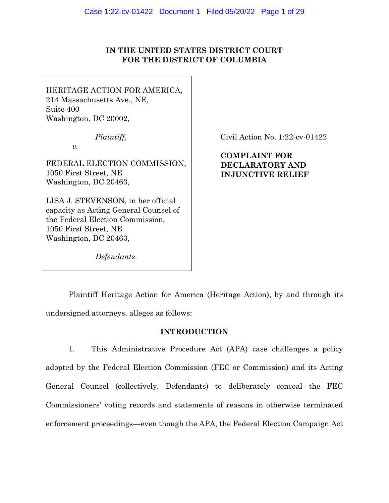# **IN THE UNITED STATES DISTRICT COURT FOR THE DISTRICT OF COLUMBIA**

HERITAGE ACTION FOR AMERICA, 214 Massachusetts Ave., NE, Suite 400 Washington, DC 20002,

*Plaintiff*,

*v.* 

FEDERAL ELECTION COMMISSION, 1050 First Street, NE Washington, DC 20463,

LISA J. STEVENSON, in her official capacity as Acting General Counsel of the Federal Election Commission, 1050 First Street, NE Washington, DC 20463,

Civil Action No. 1:22-cv-01422

**COMPLAINT FOR DECLARATORY AND INJUNCTIVE RELIEF** 

*Defendants*.

Plaintiff Heritage Action for America (Heritage Action), by and through its undersigned attorneys, alleges as follows:

# **INTRODUCTION**

1. This Administrative Procedure Act (APA) case challenges a policy adopted by the Federal Election Commission (FEC or Commission) and its Acting General Counsel (collectively, Defendants) to deliberately conceal the FEC Commissioners' voting records and statements of reasons in otherwise terminated enforcement proceedings—even though the APA, the Federal Election Campaign Act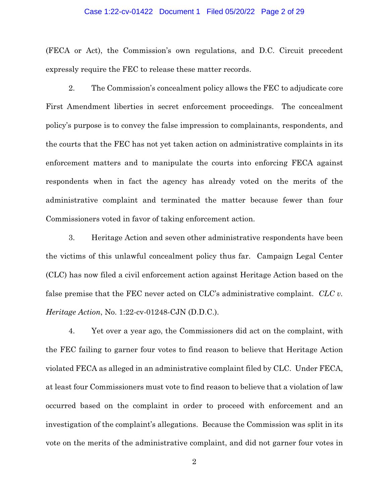#### Case 1:22-cv-01422 Document 1 Filed 05/20/22 Page 2 of 29

(FECA or Act), the Commission's own regulations, and D.C. Circuit precedent expressly require the FEC to release these matter records.

2. The Commission's concealment policy allows the FEC to adjudicate core First Amendment liberties in secret enforcement proceedings. The concealment policy's purpose is to convey the false impression to complainants, respondents, and the courts that the FEC has not yet taken action on administrative complaints in its enforcement matters and to manipulate the courts into enforcing FECA against respondents when in fact the agency has already voted on the merits of the administrative complaint and terminated the matter because fewer than four Commissioners voted in favor of taking enforcement action.

3. Heritage Action and seven other administrative respondents have been the victims of this unlawful concealment policy thus far. Campaign Legal Center (CLC) has now filed a civil enforcement action against Heritage Action based on the false premise that the FEC never acted on CLC's administrative complaint. *CLC v. Heritage Action*, No. 1:22-cv-01248-CJN (D.D.C.).

4. Yet over a year ago, the Commissioners did act on the complaint, with the FEC failing to garner four votes to find reason to believe that Heritage Action violated FECA as alleged in an administrative complaint filed by CLC. Under FECA, at least four Commissioners must vote to find reason to believe that a violation of law occurred based on the complaint in order to proceed with enforcement and an investigation of the complaint's allegations. Because the Commission was split in its vote on the merits of the administrative complaint, and did not garner four votes in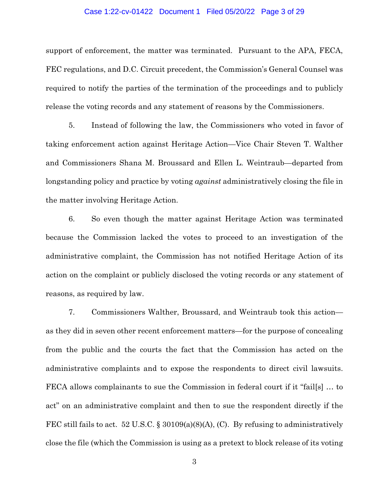### Case 1:22-cv-01422 Document 1 Filed 05/20/22 Page 3 of 29

support of enforcement, the matter was terminated. Pursuant to the APA, FECA, FEC regulations, and D.C. Circuit precedent, the Commission's General Counsel was required to notify the parties of the termination of the proceedings and to publicly release the voting records and any statement of reasons by the Commissioners.

5. Instead of following the law, the Commissioners who voted in favor of taking enforcement action against Heritage Action—Vice Chair Steven T. Walther and Commissioners Shana M. Broussard and Ellen L. Weintraub—departed from longstanding policy and practice by voting *against* administratively closing the file in the matter involving Heritage Action.

6. So even though the matter against Heritage Action was terminated because the Commission lacked the votes to proceed to an investigation of the administrative complaint, the Commission has not notified Heritage Action of its action on the complaint or publicly disclosed the voting records or any statement of reasons, as required by law.

7. Commissioners Walther, Broussard, and Weintraub took this action as they did in seven other recent enforcement matters—for the purpose of concealing from the public and the courts the fact that the Commission has acted on the administrative complaints and to expose the respondents to direct civil lawsuits. FECA allows complainants to sue the Commission in federal court if it "fail[s] … to act" on an administrative complaint and then to sue the respondent directly if the FEC still fails to act. 52 U.S.C. § 30109(a)(8)(A), (C). By refusing to administratively close the file (which the Commission is using as a pretext to block release of its voting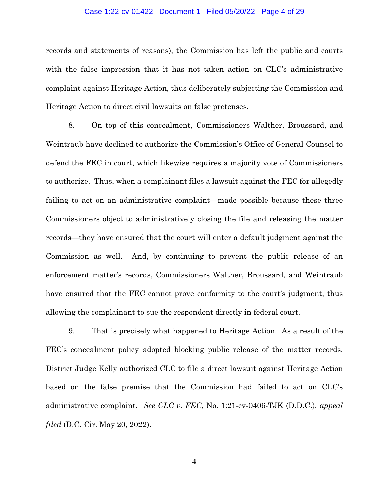### Case 1:22-cv-01422 Document 1 Filed 05/20/22 Page 4 of 29

records and statements of reasons), the Commission has left the public and courts with the false impression that it has not taken action on CLC's administrative complaint against Heritage Action, thus deliberately subjecting the Commission and Heritage Action to direct civil lawsuits on false pretenses.

8. On top of this concealment, Commissioners Walther, Broussard, and Weintraub have declined to authorize the Commission's Office of General Counsel to defend the FEC in court, which likewise requires a majority vote of Commissioners to authorize. Thus, when a complainant files a lawsuit against the FEC for allegedly failing to act on an administrative complaint—made possible because these three Commissioners object to administratively closing the file and releasing the matter records—they have ensured that the court will enter a default judgment against the Commission as well. And, by continuing to prevent the public release of an enforcement matter's records, Commissioners Walther, Broussard, and Weintraub have ensured that the FEC cannot prove conformity to the court's judgment, thus allowing the complainant to sue the respondent directly in federal court.

9. That is precisely what happened to Heritage Action. As a result of the FEC's concealment policy adopted blocking public release of the matter records, District Judge Kelly authorized CLC to file a direct lawsuit against Heritage Action based on the false premise that the Commission had failed to act on CLC's administrative complaint. *See CLC v. FEC*, No. 1:21-cv-0406-TJK (D.D.C.), *appeal filed* (D.C. Cir. May 20, 2022).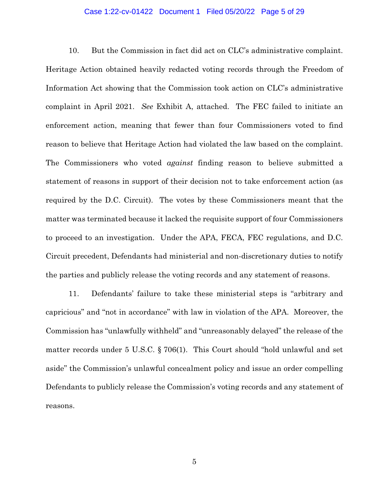#### Case 1:22-cv-01422 Document 1 Filed 05/20/22 Page 5 of 29

10. But the Commission in fact did act on CLC's administrative complaint. Heritage Action obtained heavily redacted voting records through the Freedom of Information Act showing that the Commission took action on CLC's administrative complaint in April 2021. *See* Exhibit A, attached. The FEC failed to initiate an enforcement action, meaning that fewer than four Commissioners voted to find reason to believe that Heritage Action had violated the law based on the complaint. The Commissioners who voted *against* finding reason to believe submitted a statement of reasons in support of their decision not to take enforcement action (as required by the D.C. Circuit). The votes by these Commissioners meant that the matter was terminated because it lacked the requisite support of four Commissioners to proceed to an investigation. Under the APA, FECA, FEC regulations, and D.C. Circuit precedent, Defendants had ministerial and non-discretionary duties to notify the parties and publicly release the voting records and any statement of reasons.

11. Defendants' failure to take these ministerial steps is "arbitrary and capricious" and "not in accordance" with law in violation of the APA. Moreover, the Commission has "unlawfully withheld" and "unreasonably delayed" the release of the matter records under 5 U.S.C. § 706(1). This Court should "hold unlawful and set aside" the Commission's unlawful concealment policy and issue an order compelling Defendants to publicly release the Commission's voting records and any statement of reasons.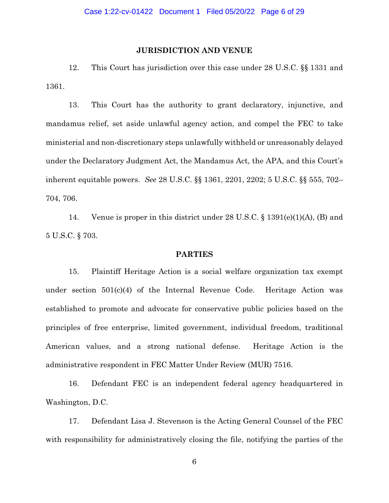### **JURISDICTION AND VENUE**

12. This Court has jurisdiction over this case under 28 U.S.C. §§ 1331 and 1361.

13. This Court has the authority to grant declaratory, injunctive, and mandamus relief, set aside unlawful agency action, and compel the FEC to take ministerial and non-discretionary steps unlawfully withheld or unreasonably delayed under the Declaratory Judgment Act, the Mandamus Act, the APA, and this Court's inherent equitable powers. *See* 28 U.S.C. §§ 1361, 2201, 2202; 5 U.S.C. §§ 555, 702– 704, 706.

14. Venue is proper in this district under 28 U.S.C. § 1391(e)(1)(A), (B) and 5 U.S.C. § 703.

#### **PARTIES**

15. Plaintiff Heritage Action is a social welfare organization tax exempt under section  $501(c)(4)$  of the Internal Revenue Code. Heritage Action was established to promote and advocate for conservative public policies based on the principles of free enterprise, limited government, individual freedom, traditional American values, and a strong national defense. Heritage Action is the administrative respondent in FEC Matter Under Review (MUR) 7516.

16. Defendant FEC is an independent federal agency headquartered in Washington, D.C.

17. Defendant Lisa J. Stevenson is the Acting General Counsel of the FEC with responsibility for administratively closing the file, notifying the parties of the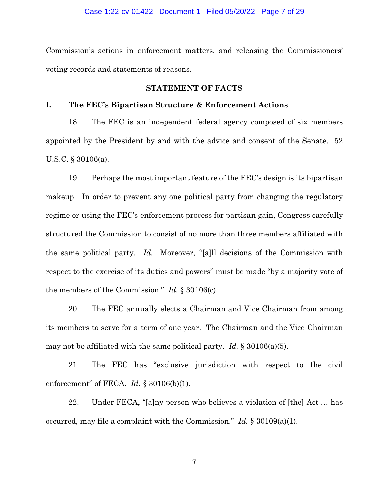#### Case 1:22-cv-01422 Document 1 Filed 05/20/22 Page 7 of 29

Commission's actions in enforcement matters, and releasing the Commissioners' voting records and statements of reasons.

### **STATEMENT OF FACTS**

## **I. The FEC's Bipartisan Structure & Enforcement Actions**

18. The FEC is an independent federal agency composed of six members appointed by the President by and with the advice and consent of the Senate. 52 U.S.C. § 30106(a).

19. Perhaps the most important feature of the FEC's design is its bipartisan makeup. In order to prevent any one political party from changing the regulatory regime or using the FEC's enforcement process for partisan gain, Congress carefully structured the Commission to consist of no more than three members affiliated with the same political party. *Id.* Moreover, "[a]ll decisions of the Commission with respect to the exercise of its duties and powers" must be made "by a majority vote of the members of the Commission." *Id.* § 30106(c).

20. The FEC annually elects a Chairman and Vice Chairman from among its members to serve for a term of one year. The Chairman and the Vice Chairman may not be affiliated with the same political party. *Id.* § 30106(a)(5).

21. The FEC has "exclusive jurisdiction with respect to the civil enforcement" of FECA. *Id.* § 30106(b)(1).

22. Under FECA, "[a]ny person who believes a violation of [the] Act … has occurred, may file a complaint with the Commission." *Id.* § 30109(a)(1).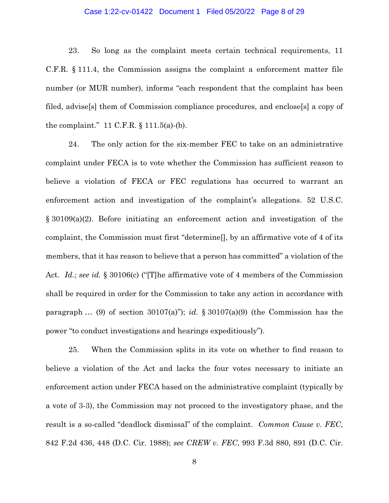### Case 1:22-cv-01422 Document 1 Filed 05/20/22 Page 8 of 29

23. So long as the complaint meets certain technical requirements, 11 C.F.R. § 111.4, the Commission assigns the complaint a enforcement matter file number (or MUR number), informs "each respondent that the complaint has been filed, advise[s] them of Commission compliance procedures, and enclose[s] a copy of the complaint." 11 C.F.R. § 111.5(a)-(b).

24. The only action for the six-member FEC to take on an administrative complaint under FECA is to vote whether the Commission has sufficient reason to believe a violation of FECA or FEC regulations has occurred to warrant an enforcement action and investigation of the complaint's allegations. 52 U.S.C. § 30109(a)(2). Before initiating an enforcement action and investigation of the complaint, the Commission must first "determine[], by an affirmative vote of 4 of its members, that it has reason to believe that a person has committed" a violation of the Act. *Id.*; *see id.* § 30106(c) ("[T]he affirmative vote of 4 members of the Commission shall be required in order for the Commission to take any action in accordance with paragraph … (9) of section 30107(a)"); *id.* § 30107(a)(9) (the Commission has the power "to conduct investigations and hearings expeditiously").

25. When the Commission splits in its vote on whether to find reason to believe a violation of the Act and lacks the four votes necessary to initiate an enforcement action under FECA based on the administrative complaint (typically by a vote of 3-3), the Commission may not proceed to the investigatory phase, and the result is a so-called "deadlock dismissal" of the complaint. *Common Cause v. FEC*, 842 F.2d 436, 448 (D.C. Cir. 1988); *see CREW v. FEC*, 993 F.3d 880, 891 (D.C. Cir.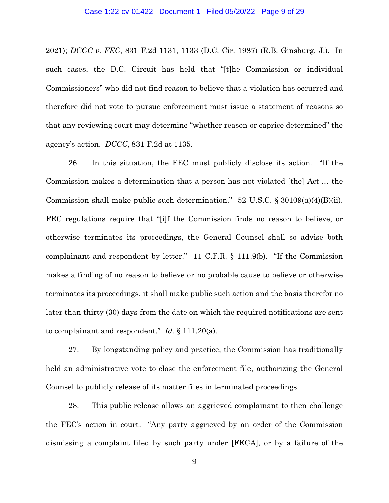2021); *DCCC v. FEC*, 831 F.2d 1131, 1133 (D.C. Cir. 1987) (R.B. Ginsburg, J.). In such cases, the D.C. Circuit has held that "[t]he Commission or individual Commissioners" who did not find reason to believe that a violation has occurred and therefore did not vote to pursue enforcement must issue a statement of reasons so that any reviewing court may determine "whether reason or caprice determined" the agency's action. *DCCC*, 831 F.2d at 1135.

26. In this situation, the FEC must publicly disclose its action. "If the Commission makes a determination that a person has not violated [the] Act … the Commission shall make public such determination." 52 U.S.C.  $\S 30109(a)(4)(B)(ii)$ . FEC regulations require that "[i]f the Commission finds no reason to believe, or otherwise terminates its proceedings, the General Counsel shall so advise both complainant and respondent by letter." 11 C.F.R. § 111.9(b). "If the Commission makes a finding of no reason to believe or no probable cause to believe or otherwise terminates its proceedings, it shall make public such action and the basis therefor no later than thirty (30) days from the date on which the required notifications are sent to complainant and respondent." *Id.* § 111.20(a).

27. By longstanding policy and practice, the Commission has traditionally held an administrative vote to close the enforcement file, authorizing the General Counsel to publicly release of its matter files in terminated proceedings.

28. This public release allows an aggrieved complainant to then challenge the FEC's action in court. "Any party aggrieved by an order of the Commission dismissing a complaint filed by such party under [FECA], or by a failure of the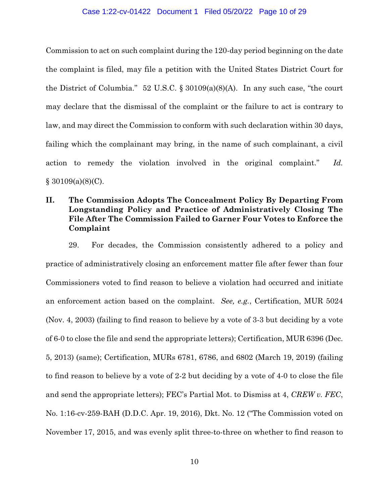#### Case 1:22-cv-01422 Document 1 Filed 05/20/22 Page 10 of 29

Commission to act on such complaint during the 120-day period beginning on the date the complaint is filed, may file a petition with the United States District Court for the District of Columbia." 52 U.S.C.  $\S 30109(a)(8)(A)$ . In any such case, "the court may declare that the dismissal of the complaint or the failure to act is contrary to law, and may direct the Commission to conform with such declaration within 30 days, failing which the complainant may bring, in the name of such complainant, a civil action to remedy the violation involved in the original complaint." *Id.*   $§ 30109(a)(8)(C).$ 

# **II. The Commission Adopts The Concealment Policy By Departing From Longstanding Policy and Practice of Administratively Closing The File After The Commission Failed to Garner Four Votes to Enforce the Complaint**

29. For decades, the Commission consistently adhered to a policy and practice of administratively closing an enforcement matter file after fewer than four Commissioners voted to find reason to believe a violation had occurred and initiate an enforcement action based on the complaint. *See, e.g.*, Certification, MUR 5024 (Nov. 4, 2003) (failing to find reason to believe by a vote of 3-3 but deciding by a vote of 6-0 to close the file and send the appropriate letters); Certification, MUR 6396 (Dec. 5, 2013) (same); Certification, MURs 6781, 6786, and 6802 (March 19, 2019) (failing to find reason to believe by a vote of 2-2 but deciding by a vote of 4-0 to close the file and send the appropriate letters); FEC's Partial Mot. to Dismiss at 4, *CREW v. FEC*, No. 1:16-cv-259-BAH (D.D.C. Apr. 19, 2016), Dkt. No. 12 ("The Commission voted on November 17, 2015, and was evenly split three-to-three on whether to find reason to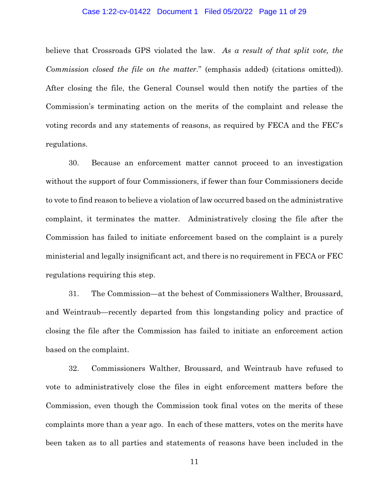#### Case 1:22-cv-01422 Document 1 Filed 05/20/22 Page 11 of 29

believe that Crossroads GPS violated the law. *As a result of that split vote, the Commission closed the file on the matter.*" (emphasis added) (citations omitted)). After closing the file, the General Counsel would then notify the parties of the Commission's terminating action on the merits of the complaint and release the voting records and any statements of reasons, as required by FECA and the FEC's regulations.

30. Because an enforcement matter cannot proceed to an investigation without the support of four Commissioners, if fewer than four Commissioners decide to vote to find reason to believe a violation of law occurred based on the administrative complaint, it terminates the matter. Administratively closing the file after the Commission has failed to initiate enforcement based on the complaint is a purely ministerial and legally insignificant act, and there is no requirement in FECA or FEC regulations requiring this step.

31. The Commission—at the behest of Commissioners Walther, Broussard, and Weintraub—recently departed from this longstanding policy and practice of closing the file after the Commission has failed to initiate an enforcement action based on the complaint.

32. Commissioners Walther, Broussard, and Weintraub have refused to vote to administratively close the files in eight enforcement matters before the Commission, even though the Commission took final votes on the merits of these complaints more than a year ago. In each of these matters, votes on the merits have been taken as to all parties and statements of reasons have been included in the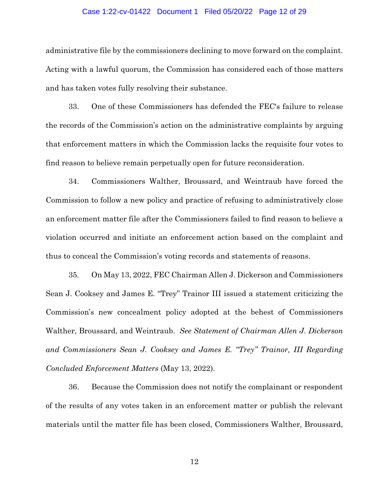#### Case 1:22-cv-01422 Document 1 Filed 05/20/22 Page 12 of 29

administrative file by the commissioners declining to move forward on the complaint. Acting with a lawful quorum, the Commission has considered each of those matters and has taken votes fully resolving their substance.

33. One of these Commissioners has defended the FEC's failure to release the records of the Commission's action on the administrative complaints by arguing that enforcement matters in which the Commission lacks the requisite four votes to find reason to believe remain perpetually open for future reconsideration.

34. Commissioners Walther, Broussard, and Weintraub have forced the Commission to follow a new policy and practice of refusing to administratively close an enforcement matter file after the Commissioners failed to find reason to believe a violation occurred and initiate an enforcement action based on the complaint and thus to conceal the Commission's voting records and statements of reasons.

35. On May 13, 2022, FEC Chairman Allen J. Dickerson and Commissioners Sean J. Cooksey and James E. "Trey" Trainor III issued a statement criticizing the Commission's new concealment policy adopted at the behest of Commissioners Walther, Broussard, and Weintraub. *See Statement of Chairman Allen J. Dickerson and Commissioners Sean J. Cooksey and James E. "Trey" Trainor, III Regarding Concluded Enforcement Matters* (May 13, 2022).

36. Because the Commission does not notify the complainant or respondent of the results of any votes taken in an enforcement matter or publish the relevant materials until the matter file has been closed, Commissioners Walther, Broussard,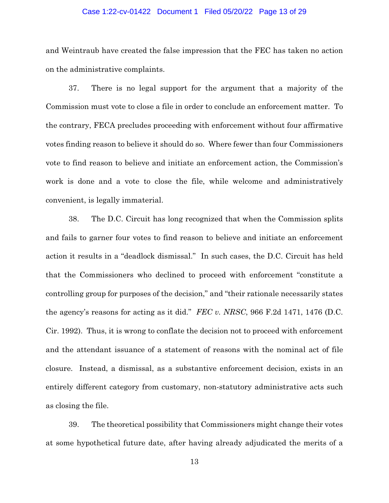#### Case 1:22-cv-01422 Document 1 Filed 05/20/22 Page 13 of 29

and Weintraub have created the false impression that the FEC has taken no action on the administrative complaints.

37. There is no legal support for the argument that a majority of the Commission must vote to close a file in order to conclude an enforcement matter. To the contrary, FECA precludes proceeding with enforcement without four affirmative votes finding reason to believe it should do so. Where fewer than four Commissioners vote to find reason to believe and initiate an enforcement action, the Commission's work is done and a vote to close the file, while welcome and administratively convenient, is legally immaterial.

38. The D.C. Circuit has long recognized that when the Commission splits and fails to garner four votes to find reason to believe and initiate an enforcement action it results in a "deadlock dismissal." In such cases, the D.C. Circuit has held that the Commissioners who declined to proceed with enforcement "constitute a controlling group for purposes of the decision," and "their rationale necessarily states the agency's reasons for acting as it did." *FEC v. NRSC*, 966 F.2d 1471, 1476 (D.C. Cir. 1992). Thus, it is wrong to conflate the decision not to proceed with enforcement and the attendant issuance of a statement of reasons with the nominal act of file closure. Instead, a dismissal, as a substantive enforcement decision, exists in an entirely different category from customary, non-statutory administrative acts such as closing the file.

39. The theoretical possibility that Commissioners might change their votes at some hypothetical future date, after having already adjudicated the merits of a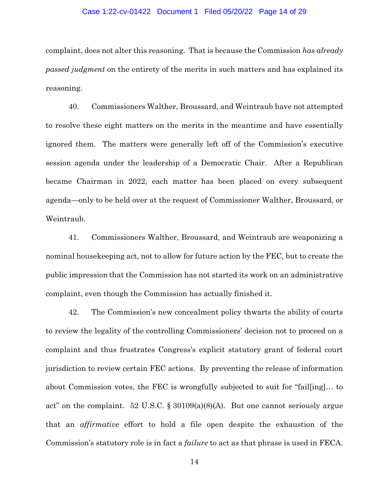### Case 1:22-cv-01422 Document 1 Filed 05/20/22 Page 14 of 29

complaint, does not alter this reasoning. That is because the Commission *has already passed judgment* on the entirety of the merits in such matters and has explained its reasoning.

40. Commissioners Walther, Broussard, and Weintraub have not attempted to resolve these eight matters on the merits in the meantime and have essentially ignored them. The matters were generally left off of the Commission's executive session agenda under the leadership of a Democratic Chair. After a Republican became Chairman in 2022, each matter has been placed on every subsequent agenda—only to be held over at the request of Commissioner Walther, Broussard, or Weintraub.

41. Commissioners Walther, Broussard, and Weintraub are weaponizing a nominal housekeeping act, not to allow for future action by the FEC, but to create the public impression that the Commission has not started its work on an administrative complaint, even though the Commission has actually finished it.

42. The Commission's new concealment policy thwarts the ability of courts to review the legality of the controlling Commissioners' decision not to proceed on a complaint and thus frustrates Congress's explicit statutory grant of federal court jurisdiction to review certain FEC actions. By preventing the release of information about Commission votes, the FEC is wrongfully subjected to suit for "fail[ing]… to act" on the complaint. 52 U.S.C. § 30109(a)(8)(A). But one cannot seriously argue that an *affirmative* effort to hold a file open despite the exhaustion of the Commission's statutory role is in fact a *failure* to act as that phrase is used in FECA.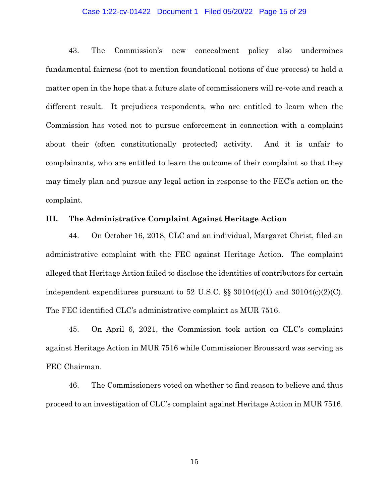### Case 1:22-cv-01422 Document 1 Filed 05/20/22 Page 15 of 29

43. The Commission's new concealment policy also undermines fundamental fairness (not to mention foundational notions of due process) to hold a matter open in the hope that a future slate of commissioners will re-vote and reach a different result. It prejudices respondents, who are entitled to learn when the Commission has voted not to pursue enforcement in connection with a complaint about their (often constitutionally protected) activity. And it is unfair to complainants, who are entitled to learn the outcome of their complaint so that they may timely plan and pursue any legal action in response to the FEC's action on the complaint.

### **III. The Administrative Complaint Against Heritage Action**

44. On October 16, 2018, CLC and an individual, Margaret Christ, filed an administrative complaint with the FEC against Heritage Action. The complaint alleged that Heritage Action failed to disclose the identities of contributors for certain independent expenditures pursuant to 52 U.S.C.  $\S$  30104(c)(1) and 30104(c)(2)(C). The FEC identified CLC's administrative complaint as MUR 7516.

45. On April 6, 2021, the Commission took action on CLC's complaint against Heritage Action in MUR 7516 while Commissioner Broussard was serving as FEC Chairman.

46. The Commissioners voted on whether to find reason to believe and thus proceed to an investigation of CLC's complaint against Heritage Action in MUR 7516.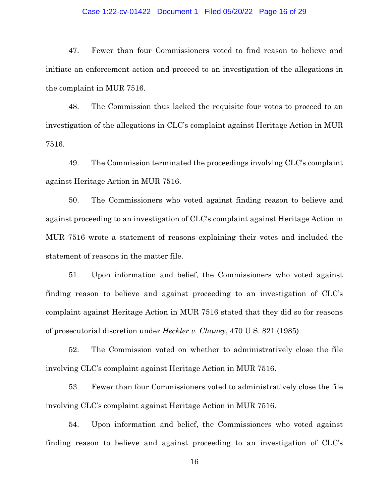### Case 1:22-cv-01422 Document 1 Filed 05/20/22 Page 16 of 29

47. Fewer than four Commissioners voted to find reason to believe and initiate an enforcement action and proceed to an investigation of the allegations in the complaint in MUR 7516.

48. The Commission thus lacked the requisite four votes to proceed to an investigation of the allegations in CLC's complaint against Heritage Action in MUR 7516.

49. The Commission terminated the proceedings involving CLC's complaint against Heritage Action in MUR 7516.

50. The Commissioners who voted against finding reason to believe and against proceeding to an investigation of CLC's complaint against Heritage Action in MUR 7516 wrote a statement of reasons explaining their votes and included the statement of reasons in the matter file.

51. Upon information and belief, the Commissioners who voted against finding reason to believe and against proceeding to an investigation of CLC's complaint against Heritage Action in MUR 7516 stated that they did so for reasons of prosecutorial discretion under *Heckler v. Chaney*, 470 U.S. 821 (1985).

52. The Commission voted on whether to administratively close the file involving CLC's complaint against Heritage Action in MUR 7516.

53. Fewer than four Commissioners voted to administratively close the file involving CLC's complaint against Heritage Action in MUR 7516.

54. Upon information and belief, the Commissioners who voted against finding reason to believe and against proceeding to an investigation of CLC's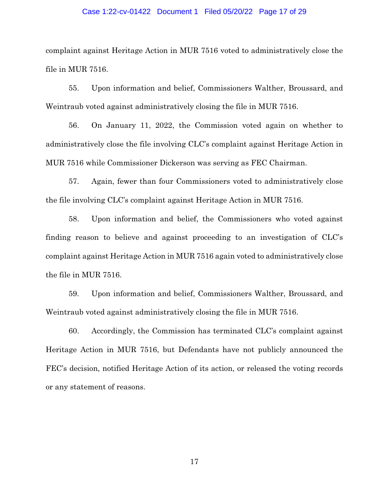#### Case 1:22-cv-01422 Document 1 Filed 05/20/22 Page 17 of 29

complaint against Heritage Action in MUR 7516 voted to administratively close the file in MUR 7516.

55. Upon information and belief, Commissioners Walther, Broussard, and Weintraub voted against administratively closing the file in MUR 7516.

56. On January 11, 2022, the Commission voted again on whether to administratively close the file involving CLC's complaint against Heritage Action in MUR 7516 while Commissioner Dickerson was serving as FEC Chairman.

57. Again, fewer than four Commissioners voted to administratively close the file involving CLC's complaint against Heritage Action in MUR 7516.

58. Upon information and belief, the Commissioners who voted against finding reason to believe and against proceeding to an investigation of CLC's complaint against Heritage Action in MUR 7516 again voted to administratively close the file in MUR 7516.

59. Upon information and belief, Commissioners Walther, Broussard, and Weintraub voted against administratively closing the file in MUR 7516.

60. Accordingly, the Commission has terminated CLC's complaint against Heritage Action in MUR 7516, but Defendants have not publicly announced the FEC's decision, notified Heritage Action of its action, or released the voting records or any statement of reasons.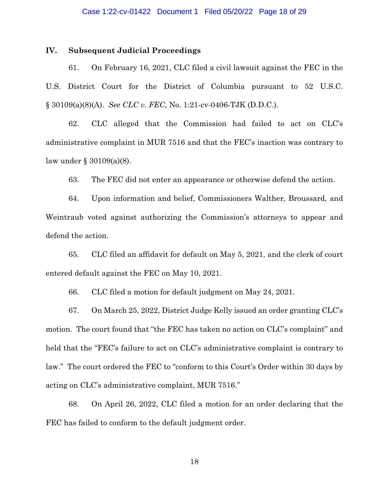### Case 1:22-cv-01422 Document 1 Filed 05/20/22 Page 18 of 29

### **IV. Subsequent Judicial Proceedings**

61. On February 16, 2021, CLC filed a civil lawsuit against the FEC in the U.S. District Court for the District of Columbia pursuant to 52 U.S.C. § 30109(a)(8)(A). *See CLC v. FEC*, No. 1:21-cv-0406-TJK (D.D.C.).

62. CLC alleged that the Commission had failed to act on CLC's administrative complaint in MUR 7516 and that the FEC's inaction was contrary to law under § 30109(a)(8).

63. The FEC did not enter an appearance or otherwise defend the action.

64. Upon information and belief, Commissioners Walther, Broussard, and Weintraub voted against authorizing the Commission's attorneys to appear and defend the action.

65. CLC filed an affidavit for default on May 5, 2021, and the clerk of court entered default against the FEC on May 10, 2021.

66. CLC filed a motion for default judgment on May 24, 2021.

67. On March 25, 2022, District Judge Kelly issued an order granting CLC's motion. The court found that "the FEC has taken no action on CLC's complaint" and held that the "FEC's failure to act on CLC's administrative complaint is contrary to law." The court ordered the FEC to "conform to this Court's Order within 30 days by acting on CLC's administrative complaint, MUR 7516."

68. On April 26, 2022, CLC filed a motion for an order declaring that the FEC has failed to conform to the default judgment order.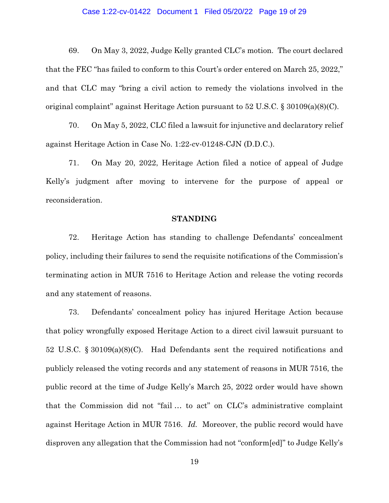### Case 1:22-cv-01422 Document 1 Filed 05/20/22 Page 19 of 29

69. On May 3, 2022, Judge Kelly granted CLC's motion. The court declared that the FEC "has failed to conform to this Court's order entered on March 25, 2022," and that CLC may "bring a civil action to remedy the violations involved in the original complaint" against Heritage Action pursuant to 52 U.S.C. § 30109(a)(8)(C).

70. On May 5, 2022, CLC filed a lawsuit for injunctive and declaratory relief against Heritage Action in Case No. 1:22-cv-01248-CJN (D.D.C.).

71. On May 20, 2022, Heritage Action filed a notice of appeal of Judge Kelly's judgment after moving to intervene for the purpose of appeal or reconsideration.

### **STANDING**

72. Heritage Action has standing to challenge Defendants' concealment policy, including their failures to send the requisite notifications of the Commission's terminating action in MUR 7516 to Heritage Action and release the voting records and any statement of reasons.

73. Defendants' concealment policy has injured Heritage Action because that policy wrongfully exposed Heritage Action to a direct civil lawsuit pursuant to 52 U.S.C. § 30109(a)(8)(C). Had Defendants sent the required notifications and publicly released the voting records and any statement of reasons in MUR 7516, the public record at the time of Judge Kelly's March 25, 2022 order would have shown that the Commission did not "fail … to act" on CLC's administrative complaint against Heritage Action in MUR 7516. *Id.* Moreover, the public record would have disproven any allegation that the Commission had not "conform[ed]" to Judge Kelly's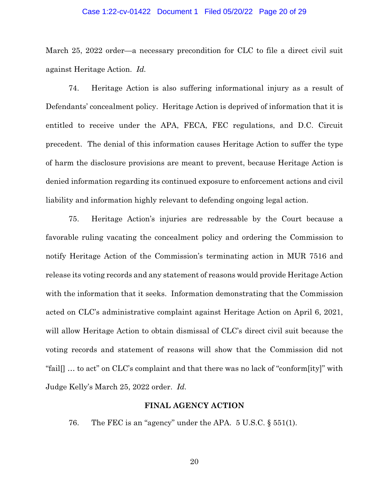### Case 1:22-cv-01422 Document 1 Filed 05/20/22 Page 20 of 29

March 25, 2022 order—a necessary precondition for CLC to file a direct civil suit against Heritage Action. *Id.* 

74. Heritage Action is also suffering informational injury as a result of Defendants' concealment policy. Heritage Action is deprived of information that it is entitled to receive under the APA, FECA, FEC regulations, and D.C. Circuit precedent. The denial of this information causes Heritage Action to suffer the type of harm the disclosure provisions are meant to prevent, because Heritage Action is denied information regarding its continued exposure to enforcement actions and civil liability and information highly relevant to defending ongoing legal action.

75. Heritage Action's injuries are redressable by the Court because a favorable ruling vacating the concealment policy and ordering the Commission to notify Heritage Action of the Commission's terminating action in MUR 7516 and release its voting records and any statement of reasons would provide Heritage Action with the information that it seeks. Information demonstrating that the Commission acted on CLC's administrative complaint against Heritage Action on April 6, 2021, will allow Heritage Action to obtain dismissal of CLC's direct civil suit because the voting records and statement of reasons will show that the Commission did not "fail[] … to act" on CLC's complaint and that there was no lack of "conform[ity]" with Judge Kelly's March 25, 2022 order. *Id.* 

# **FINAL AGENCY ACTION**

76. The FEC is an "agency" under the APA. 5 U.S.C. § 551(1).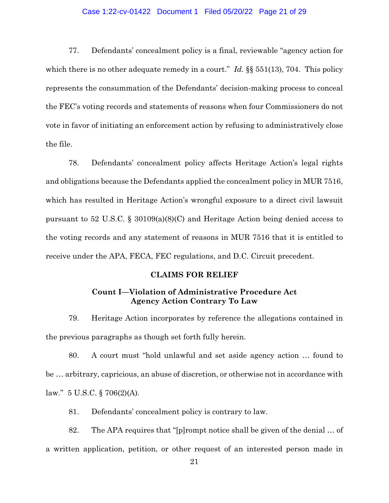### Case 1:22-cv-01422 Document 1 Filed 05/20/22 Page 21 of 29

77. Defendants' concealment policy is a final, reviewable "agency action for which there is no other adequate remedy in a court." *Id.* §§ 551(13), 704. This policy represents the consummation of the Defendants' decision-making process to conceal the FEC's voting records and statements of reasons when four Commissioners do not vote in favor of initiating an enforcement action by refusing to administratively close the file.

78. Defendants' concealment policy affects Heritage Action's legal rights and obligations because the Defendants applied the concealment policy in MUR 7516, which has resulted in Heritage Action's wrongful exposure to a direct civil lawsuit pursuant to 52 U.S.C. § 30109(a)(8)(C) and Heritage Action being denied access to the voting records and any statement of reasons in MUR 7516 that it is entitled to receive under the APA, FECA, FEC regulations, and D.C. Circuit precedent.

### **CLAIMS FOR RELIEF**

## **Count I—Violation of Administrative Procedure Act Agency Action Contrary To Law**

79. Heritage Action incorporates by reference the allegations contained in the previous paragraphs as though set forth fully herein.

80. A court must "hold unlawful and set aside agency action … found to be … arbitrary, capricious, an abuse of discretion, or otherwise not in accordance with law."  $5 \text{ U.S.C.}$  § 706(2)(A).

81. Defendants' concealment policy is contrary to law.

82. The APA requires that "[p]rompt notice shall be given of the denial … of a written application, petition, or other request of an interested person made in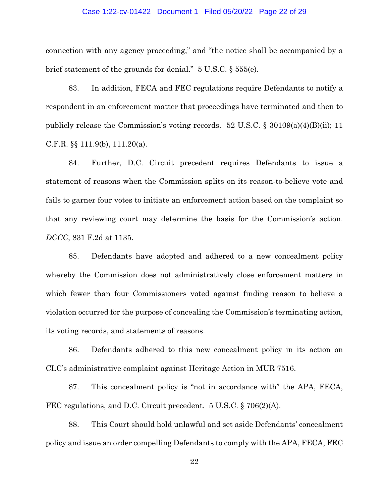#### Case 1:22-cv-01422 Document 1 Filed 05/20/22 Page 22 of 29

connection with any agency proceeding," and "the notice shall be accompanied by a brief statement of the grounds for denial." 5 U.S.C. § 555(e).

83. In addition, FECA and FEC regulations require Defendants to notify a respondent in an enforcement matter that proceedings have terminated and then to publicly release the Commission's voting records. 52 U.S.C. § 30109(a)(4)(B)(ii); 11 C.F.R. §§ 111.9(b), 111.20(a).

84. Further, D.C. Circuit precedent requires Defendants to issue a statement of reasons when the Commission splits on its reason-to-believe vote and fails to garner four votes to initiate an enforcement action based on the complaint so that any reviewing court may determine the basis for the Commission's action. *DCCC*, 831 F.2d at 1135.

85. Defendants have adopted and adhered to a new concealment policy whereby the Commission does not administratively close enforcement matters in which fewer than four Commissioners voted against finding reason to believe a violation occurred for the purpose of concealing the Commission's terminating action, its voting records, and statements of reasons.

86. Defendants adhered to this new concealment policy in its action on CLC's administrative complaint against Heritage Action in MUR 7516.

87. This concealment policy is "not in accordance with" the APA, FECA, FEC regulations, and D.C. Circuit precedent. 5 U.S.C. § 706(2)(A).

88. This Court should hold unlawful and set aside Defendants' concealment policy and issue an order compelling Defendants to comply with the APA, FECA, FEC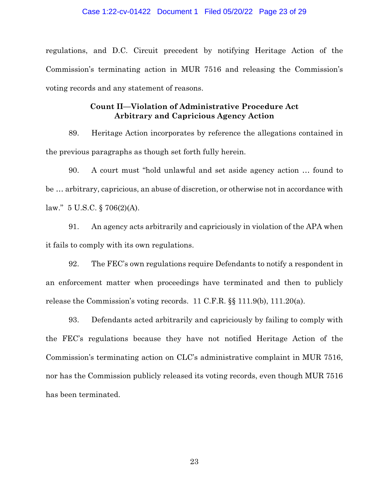regulations, and D.C. Circuit precedent by notifying Heritage Action of the Commission's terminating action in MUR 7516 and releasing the Commission's voting records and any statement of reasons.

## **Count II—Violation of Administrative Procedure Act Arbitrary and Capricious Agency Action**

89. Heritage Action incorporates by reference the allegations contained in the previous paragraphs as though set forth fully herein.

90. A court must "hold unlawful and set aside agency action … found to be … arbitrary, capricious, an abuse of discretion, or otherwise not in accordance with law."  $5 \text{ U.S.C.}$  § 706(2)(A).

91. An agency acts arbitrarily and capriciously in violation of the APA when it fails to comply with its own regulations.

92. The FEC's own regulations require Defendants to notify a respondent in an enforcement matter when proceedings have terminated and then to publicly release the Commission's voting records. 11 C.F.R. §§ 111.9(b), 111.20(a).

93. Defendants acted arbitrarily and capriciously by failing to comply with the FEC's regulations because they have not notified Heritage Action of the Commission's terminating action on CLC's administrative complaint in MUR 7516, nor has the Commission publicly released its voting records, even though MUR 7516 has been terminated.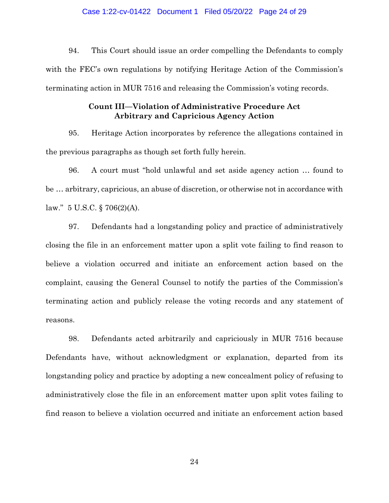#### Case 1:22-cv-01422 Document 1 Filed 05/20/22 Page 24 of 29

94. This Court should issue an order compelling the Defendants to comply with the FEC's own regulations by notifying Heritage Action of the Commission's terminating action in MUR 7516 and releasing the Commission's voting records.

## **Count III—Violation of Administrative Procedure Act Arbitrary and Capricious Agency Action**

95. Heritage Action incorporates by reference the allegations contained in the previous paragraphs as though set forth fully herein.

96. A court must "hold unlawful and set aside agency action … found to be … arbitrary, capricious, an abuse of discretion, or otherwise not in accordance with law."  $5 \text{ U.S.C.}$  § 706(2)(A).

97. Defendants had a longstanding policy and practice of administratively closing the file in an enforcement matter upon a split vote failing to find reason to believe a violation occurred and initiate an enforcement action based on the complaint, causing the General Counsel to notify the parties of the Commission's terminating action and publicly release the voting records and any statement of reasons.

98. Defendants acted arbitrarily and capriciously in MUR 7516 because Defendants have, without acknowledgment or explanation, departed from its longstanding policy and practice by adopting a new concealment policy of refusing to administratively close the file in an enforcement matter upon split votes failing to find reason to believe a violation occurred and initiate an enforcement action based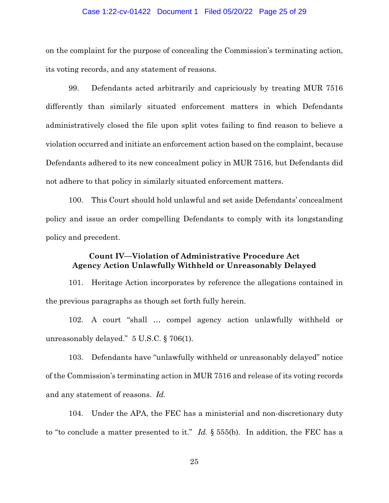#### Case 1:22-cv-01422 Document 1 Filed 05/20/22 Page 25 of 29

on the complaint for the purpose of concealing the Commission's terminating action, its voting records, and any statement of reasons.

99. Defendants acted arbitrarily and capriciously by treating MUR 7516 differently than similarly situated enforcement matters in which Defendants administratively closed the file upon split votes failing to find reason to believe a violation occurred and initiate an enforcement action based on the complaint, because Defendants adhered to its new concealment policy in MUR 7516, but Defendants did not adhere to that policy in similarly situated enforcement matters.

100. This Court should hold unlawful and set aside Defendants' concealment policy and issue an order compelling Defendants to comply with its longstanding policy and precedent.

# **Count IV—Violation of Administrative Procedure Act Agency Action Unlawfully Withheld or Unreasonably Delayed**

101. Heritage Action incorporates by reference the allegations contained in the previous paragraphs as though set forth fully herein.

102. A court "shall … compel agency action unlawfully withheld or unreasonably delayed." 5 U.S.C. § 706(1).

 and any statement of reasons. *Id.* 103. Defendants have "unlawfully withheld or unreasonably delayed" notice of the Commission's terminating action in MUR 7516 and release of its voting records

104. Under the APA, the FEC has a ministerial and non-discretionary duty to "to conclude a matter presented to it." *Id.* § 555(b). In addition, the FEC has a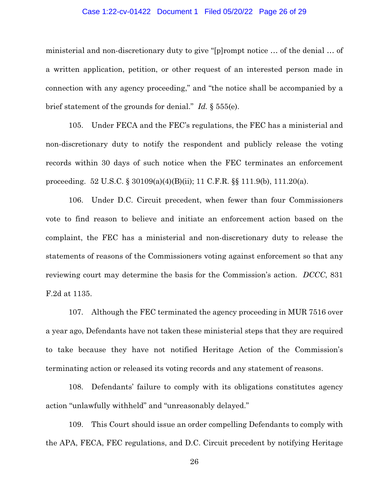### Case 1:22-cv-01422 Document 1 Filed 05/20/22 Page 26 of 29

ministerial and non-discretionary duty to give "[p]rompt notice … of the denial … of a written application, petition, or other request of an interested person made in connection with any agency proceeding," and "the notice shall be accompanied by a brief statement of the grounds for denial." *Id.* § 555(e).

105. Under FECA and the FEC's regulations, the FEC has a ministerial and non-discretionary duty to notify the respondent and publicly release the voting records within 30 days of such notice when the FEC terminates an enforcement proceeding. 52 U.S.C. § 30109(a)(4)(B)(ii); 11 C.F.R. §§ 111.9(b), 111.20(a).

106. Under D.C. Circuit precedent, when fewer than four Commissioners vote to find reason to believe and initiate an enforcement action based on the complaint, the FEC has a ministerial and non-discretionary duty to release the statements of reasons of the Commissioners voting against enforcement so that any reviewing court may determine the basis for the Commission's action. *DCCC*, 831 F.2d at 1135.

107. Although the FEC terminated the agency proceeding in MUR 7516 over a year ago, Defendants have not taken these ministerial steps that they are required to take because they have not notified Heritage Action of the Commission's terminating action or released its voting records and any statement of reasons.

108. Defendants' failure to comply with its obligations constitutes agency action "unlawfully withheld" and "unreasonably delayed."

109. This Court should issue an order compelling Defendants to comply with the APA, FECA, FEC regulations, and D.C. Circuit precedent by notifying Heritage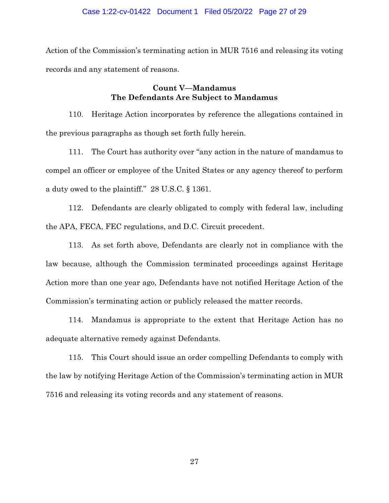#### Case 1:22-cv-01422 Document 1 Filed 05/20/22 Page 27 of 29

Action of the Commission's terminating action in MUR 7516 and releasing its voting records and any statement of reasons.

# **Count V—Mandamus The Defendants Are Subject to Mandamus**

110. Heritage Action incorporates by reference the allegations contained in the previous paragraphs as though set forth fully herein.

111. The Court has authority over "any action in the nature of mandamus to compel an officer or employee of the United States or any agency thereof to perform a duty owed to the plaintiff." 28 U.S.C. § 1361.

112. Defendants are clearly obligated to comply with federal law, including the APA, FECA, FEC regulations, and D.C. Circuit precedent.

113. As set forth above, Defendants are clearly not in compliance with the law because, although the Commission terminated proceedings against Heritage Action more than one year ago, Defendants have not notified Heritage Action of the Commission's terminating action or publicly released the matter records.

114. Mandamus is appropriate to the extent that Heritage Action has no adequate alternative remedy against Defendants.

115. This Court should issue an order compelling Defendants to comply with the law by notifying Heritage Action of the Commission's terminating action in MUR 7516 and releasing its voting records and any statement of reasons.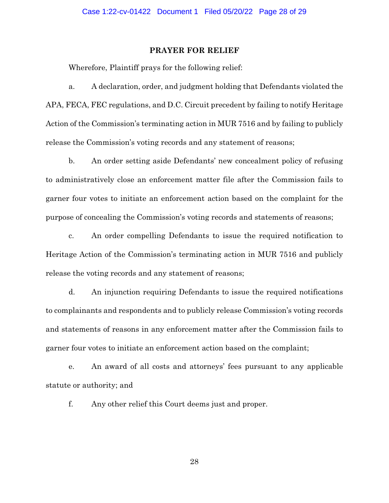### **PRAYER FOR RELIEF**

Wherefore, Plaintiff prays for the following relief:

a. A declaration, order, and judgment holding that Defendants violated the APA, FECA, FEC regulations, and D.C. Circuit precedent by failing to notify Heritage Action of the Commission's terminating action in MUR 7516 and by failing to publicly release the Commission's voting records and any statement of reasons;

b. An order setting aside Defendants' new concealment policy of refusing to administratively close an enforcement matter file after the Commission fails to garner four votes to initiate an enforcement action based on the complaint for the purpose of concealing the Commission's voting records and statements of reasons;

c. An order compelling Defendants to issue the required notification to Heritage Action of the Commission's terminating action in MUR 7516 and publicly release the voting records and any statement of reasons;

d. An injunction requiring Defendants to issue the required notifications to complainants and respondents and to publicly release Commission's voting records and statements of reasons in any enforcement matter after the Commission fails to garner four votes to initiate an enforcement action based on the complaint;

e. An award of all costs and attorneys' fees pursuant to any applicable statute or authority; and

f. Any other relief this Court deems just and proper.